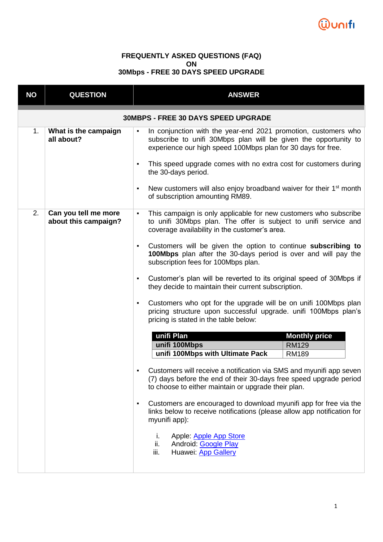

## **FREQUENTLY ASKED QUESTIONS (FAQ) ON 30Mbps - FREE 30 DAYS SPEED UPGRADE**

| <b>NO</b>                                  | <b>QUESTION</b>                              | <b>ANSWER</b>                                                                                                                                                                                                                                                                                                                                                                                                                                                                                                                                                                                                                                                                                                                                                                                                                                                                                                                                                                                                                                                                                                                                                                                                                                     |  |  |  |  |
|--------------------------------------------|----------------------------------------------|---------------------------------------------------------------------------------------------------------------------------------------------------------------------------------------------------------------------------------------------------------------------------------------------------------------------------------------------------------------------------------------------------------------------------------------------------------------------------------------------------------------------------------------------------------------------------------------------------------------------------------------------------------------------------------------------------------------------------------------------------------------------------------------------------------------------------------------------------------------------------------------------------------------------------------------------------------------------------------------------------------------------------------------------------------------------------------------------------------------------------------------------------------------------------------------------------------------------------------------------------|--|--|--|--|
| <b>30MBPS - FREE 30 DAYS SPEED UPGRADE</b> |                                              |                                                                                                                                                                                                                                                                                                                                                                                                                                                                                                                                                                                                                                                                                                                                                                                                                                                                                                                                                                                                                                                                                                                                                                                                                                                   |  |  |  |  |
| 1.                                         | What is the campaign<br>all about?           | In conjunction with the year-end 2021 promotion, customers who<br>$\blacksquare$<br>subscribe to unifi 30Mbps plan will be given the opportunity to<br>experience our high speed 100Mbps plan for 30 days for free.<br>This speed upgrade comes with no extra cost for customers during<br>$\blacksquare$<br>the 30-days period.<br>New customers will also enjoy broadband waiver for their 1 <sup>st</sup> month<br>$\blacksquare$<br>of subscription amounting RM89.                                                                                                                                                                                                                                                                                                                                                                                                                                                                                                                                                                                                                                                                                                                                                                           |  |  |  |  |
| 2.                                         | Can you tell me more<br>about this campaign? | This campaign is only applicable for new customers who subscribe<br>$\blacksquare$<br>to unifi 30Mbps plan. The offer is subject to unifi service and<br>coverage availability in the customer's area.<br>Customers will be given the option to continue subscribing to<br>$\blacksquare$<br>100Mbps plan after the 30-days period is over and will pay the<br>subscription fees for 100Mbps plan.<br>Customer's plan will be reverted to its original speed of 30Mbps if<br>$\blacksquare$<br>they decide to maintain their current subscription.<br>Customers who opt for the upgrade will be on unifi 100Mbps plan<br>$\blacksquare$<br>pricing structure upon successful upgrade. unifi 100Mbps plan's<br>pricing is stated in the table below:<br>unifi Plan<br><b>Monthly price</b><br>unifi 100Mbps<br><b>RM129</b><br>unifi 100Mbps with Ultimate Pack<br>RM189<br>Customers will receive a notification via SMS and myunifi app seven<br>(7) days before the end of their 30-days free speed upgrade period<br>to choose to either maintain or upgrade their plan.<br>Customers are encouraged to download myunifi app for free via the<br>٠<br>links below to receive notifications (please allow app notification for<br>myunifi app): |  |  |  |  |
|                                            |                                              | Apple: Apple App Store<br>i.<br>ii.<br>Android: Google Play<br>iii.<br>Huawei: App Gallery                                                                                                                                                                                                                                                                                                                                                                                                                                                                                                                                                                                                                                                                                                                                                                                                                                                                                                                                                                                                                                                                                                                                                        |  |  |  |  |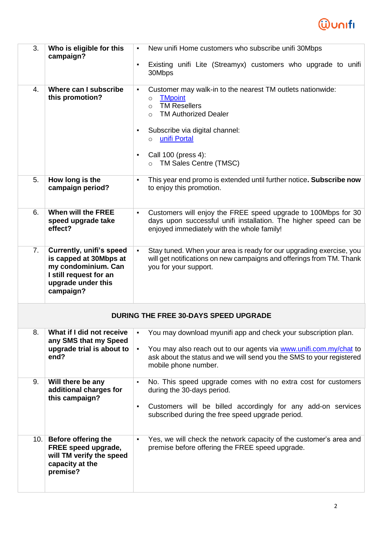

| 3.   | Who is eligible for this<br>campaign?                                                                                                         | New unifi Home customers who subscribe unifi 30Mbps<br>$\blacksquare$<br>Existing unifi Lite (Streamyx) customers who upgrade to unifi<br>$\blacksquare$                                                                                                                                                                   |
|------|-----------------------------------------------------------------------------------------------------------------------------------------------|----------------------------------------------------------------------------------------------------------------------------------------------------------------------------------------------------------------------------------------------------------------------------------------------------------------------------|
|      |                                                                                                                                               | 30Mbps                                                                                                                                                                                                                                                                                                                     |
| 4.   | Where can I subscribe<br>this promotion?                                                                                                      | Customer may walk-in to the nearest TM outlets nationwide:<br>$\blacksquare$<br><b>TMpoint</b><br>$\circ$<br><b>TM Resellers</b><br>$\circ$<br><b>TM Authorized Dealer</b><br>$\Omega$<br>Subscribe via digital channel:<br>٠<br>unifi Portal<br>$\Omega$<br>Call 100 (press 4):<br>٠<br>TM Sales Centre (TMSC)<br>$\circ$ |
| 5.   | How long is the<br>campaign period?                                                                                                           | This year end promo is extended until further notice. Subscribe now<br>$\blacksquare$<br>to enjoy this promotion.                                                                                                                                                                                                          |
| 6.   | When will the FREE<br>speed upgrade take<br>effect?                                                                                           | Customers will enjoy the FREE speed upgrade to 100Mbps for 30<br>$\blacksquare$<br>days upon successful unifi installation. The higher speed can be<br>enjoyed immediately with the whole family!                                                                                                                          |
| 7.   | <b>Currently, unifi's speed</b><br>is capped at 30Mbps at<br>my condominium. Can<br>I still request for an<br>upgrade under this<br>campaign? | Stay tuned. When your area is ready for our upgrading exercise, you<br>$\blacksquare$<br>will get notifications on new campaigns and offerings from TM. Thank<br>you for your support.                                                                                                                                     |
|      |                                                                                                                                               | <b>DURING THE FREE 30-DAYS SPEED UPGRADE</b>                                                                                                                                                                                                                                                                               |
| 8.   | What if I did not receive<br>any SMS that my Speed                                                                                            | You may download myunifi app and check your subscription plan.<br>٠                                                                                                                                                                                                                                                        |
|      | upgrade trial is about to<br>end?                                                                                                             | You may also reach out to our agents via www.unifi.com.my/chat to<br>$\blacksquare$<br>ask about the status and we will send you the SMS to your registered<br>mobile phone number.                                                                                                                                        |
| 9.   | Will there be any<br>additional charges for                                                                                                   | No. This speed upgrade comes with no extra cost for customers<br>$\blacksquare$<br>during the 30-days period.                                                                                                                                                                                                              |
|      | this campaign?                                                                                                                                | Customers will be billed accordingly for any add-on services<br>$\blacksquare$<br>subscribed during the free speed upgrade period.                                                                                                                                                                                         |
| 10.1 | <b>Before offering the</b><br>FREE speed upgrade,<br>will TM verify the speed<br>capacity at the<br>premise?                                  | Yes, we will check the network capacity of the customer's area and<br>$\blacksquare$<br>premise before offering the FREE speed upgrade.                                                                                                                                                                                    |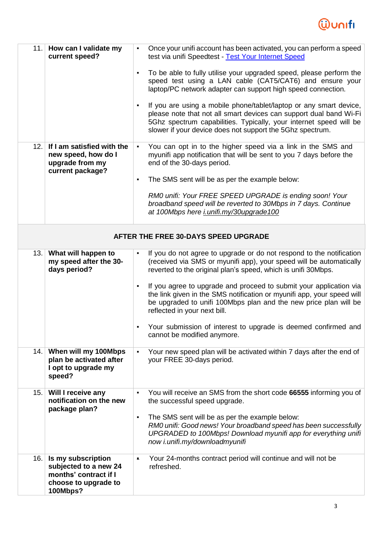

| 11.                                  | How can I validate my<br>current speed?                                                                  | Once your unifi account has been activated, you can perform a speed<br>$\blacksquare$<br>test via unifi Speedtest - Test Your Internet Speed<br>To be able to fully utilise your upgraded speed, please perform the<br>speed test using a LAN cable (CAT5/CAT6) and ensure your<br>laptop/PC network adapter can support high speed connection.<br>If you are using a mobile phone/tablet/laptop or any smart device,<br>$\blacksquare$<br>please note that not all smart devices can support dual band Wi-Fi<br>5Ghz spectrum capabilities. Typically, your internet speed will be<br>slower if your device does not support the 5Ghz spectrum. |  |  |  |  |
|--------------------------------------|----------------------------------------------------------------------------------------------------------|--------------------------------------------------------------------------------------------------------------------------------------------------------------------------------------------------------------------------------------------------------------------------------------------------------------------------------------------------------------------------------------------------------------------------------------------------------------------------------------------------------------------------------------------------------------------------------------------------------------------------------------------------|--|--|--|--|
| 12.                                  | If I am satisfied with the<br>new speed, how do I<br>upgrade from my<br>current package?                 | You can opt in to the higher speed via a link in the SMS and<br>$\blacksquare$<br>myunifi app notification that will be sent to you 7 days before the<br>end of the 30-days period.<br>The SMS sent will be as per the example below:<br>$\blacksquare$<br>RM0 unifi: Your FREE SPEED UPGRADE is ending soon! Your<br>broadband speed will be reverted to 30Mbps in 7 days. Continue<br>at 100Mbps here <i>i.unifi.my/30upgrade100</i>                                                                                                                                                                                                           |  |  |  |  |
| AFTER THE FREE 30-DAYS SPEED UPGRADE |                                                                                                          |                                                                                                                                                                                                                                                                                                                                                                                                                                                                                                                                                                                                                                                  |  |  |  |  |
| 13.                                  | What will happen to<br>my speed after the 30-<br>days period?                                            | If you do not agree to upgrade or do not respond to the notification<br>$\blacksquare$<br>(received via SMS or myunifi app), your speed will be automatically<br>reverted to the original plan's speed, which is unifi 30Mbps.<br>If you agree to upgrade and proceed to submit your application via<br>٠<br>the link given in the SMS notification or myunifi app, your speed will<br>be upgraded to unifi 100Mbps plan and the new price plan will be<br>reflected in your next bill.<br>Your submission of interest to upgrade is deemed confirmed and<br>cannot be modified anymore.                                                         |  |  |  |  |
| 14.                                  | When will my 100Mbps<br>plan be activated after<br>I opt to upgrade my<br>speed?                         | Your new speed plan will be activated within 7 days after the end of<br>$\blacksquare$<br>your FREE 30-days period.                                                                                                                                                                                                                                                                                                                                                                                                                                                                                                                              |  |  |  |  |
| 15.                                  | Will I receive any<br>notification on the new<br>package plan?                                           | You will receive an SMS from the short code 66555 informing you of<br>the successful speed upgrade.<br>The SMS sent will be as per the example below:<br>$\blacksquare$<br>RM0 unifi: Good news! Your broadband speed has been successfully<br>UPGRADED to 100Mbps! Download myunifi app for everything unifi<br>now i.unifi.my/downloadmyunifi                                                                                                                                                                                                                                                                                                  |  |  |  |  |
| 16.                                  | Is my subscription<br>subjected to a new 24<br>months' contract if I<br>choose to upgrade to<br>100Mbps? | Your 24-months contract period will continue and will not be<br>Д.<br>refreshed.                                                                                                                                                                                                                                                                                                                                                                                                                                                                                                                                                                 |  |  |  |  |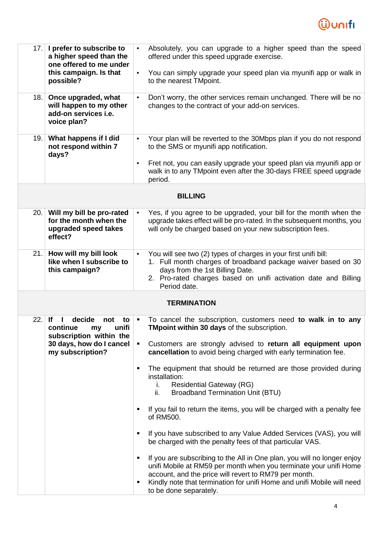

| 17.  | I prefer to subscribe to<br>a higher speed than the<br>one offered to me under<br>this campaign. Is that<br>possible?                  | Absolutely, you can upgrade to a higher speed than the speed<br>$\blacksquare$<br>offered under this speed upgrade exercise.                                                                                                                                                                                                                                                                                                                                                                                                        |
|------|----------------------------------------------------------------------------------------------------------------------------------------|-------------------------------------------------------------------------------------------------------------------------------------------------------------------------------------------------------------------------------------------------------------------------------------------------------------------------------------------------------------------------------------------------------------------------------------------------------------------------------------------------------------------------------------|
|      |                                                                                                                                        | You can simply upgrade your speed plan via myunifi app or walk in<br>$\blacksquare$<br>to the nearest TMpoint.                                                                                                                                                                                                                                                                                                                                                                                                                      |
| 18.  | Once upgraded, what<br>will happen to my other<br>add-on services i.e.<br>voice plan?                                                  | Don't worry, the other services remain unchanged. There will be no<br>$\blacksquare$<br>changes to the contract of your add-on services.                                                                                                                                                                                                                                                                                                                                                                                            |
| 19.  | What happens if I did<br>not respond within 7<br>days?                                                                                 | Your plan will be reverted to the 30Mbps plan if you do not respond<br>$\blacksquare$<br>to the SMS or myunifi app notification.                                                                                                                                                                                                                                                                                                                                                                                                    |
|      |                                                                                                                                        | Fret not, you can easily upgrade your speed plan via myunifi app or<br>$\blacksquare$<br>walk in to any TMpoint even after the 30-days FREE speed upgrade<br>period.                                                                                                                                                                                                                                                                                                                                                                |
|      |                                                                                                                                        | <b>BILLING</b>                                                                                                                                                                                                                                                                                                                                                                                                                                                                                                                      |
| 20.1 | Will my bill be pro-rated<br>for the month when the<br>upgraded speed takes<br>effect?                                                 | Yes, if you agree to be upgraded, your bill for the month when the<br>п.<br>upgrade takes effect will be pro-rated. In the subsequent months, you<br>will only be charged based on your new subscription fees.                                                                                                                                                                                                                                                                                                                      |
| 21.  | How will my bill look<br>like when I subscribe to<br>this campaign?                                                                    | You will see two (2) types of charges in your first unifi bill:<br>$\blacksquare$<br>1. Full month charges of broadband package waiver based on 30<br>days from the 1st Billing Date.<br>2. Pro-rated charges based on unifi activation date and Billing<br>Period date.                                                                                                                                                                                                                                                            |
|      |                                                                                                                                        | <b>TERMINATION</b>                                                                                                                                                                                                                                                                                                                                                                                                                                                                                                                  |
| 22.  | <b>If</b><br>decide<br>not<br>to<br>unifi<br>continue<br>my<br>subscription within the<br>30 days, how do I cancel<br>my subscription? | To cancel the subscription, customers need to walk in to any<br>TMpoint within 30 days of the subscription.<br>Customers are strongly advised to return all equipment upon<br>٠<br>cancellation to avoid being charged with early termination fee.<br>The equipment that should be returned are those provided during<br>٠<br>installation:<br><b>Residential Gateway (RG)</b><br>i.<br>ii.<br><b>Broadband Termination Unit (BTU)</b><br>If you fail to return the items, you will be charged with a penalty fee<br>٠<br>of RM500. |
|      |                                                                                                                                        | If you have subscribed to any Value Added Services (VAS), you will<br>be charged with the penalty fees of that particular VAS.<br>If you are subscribing to the All in One plan, you will no longer enjoy<br>٠<br>unifi Mobile at RM59 per month when you terminate your unifi Home<br>account, and the price will revert to RM79 per month.<br>Kindly note that termination for unifi Home and unifi Mobile will need<br>٠<br>to be done separately.                                                                               |